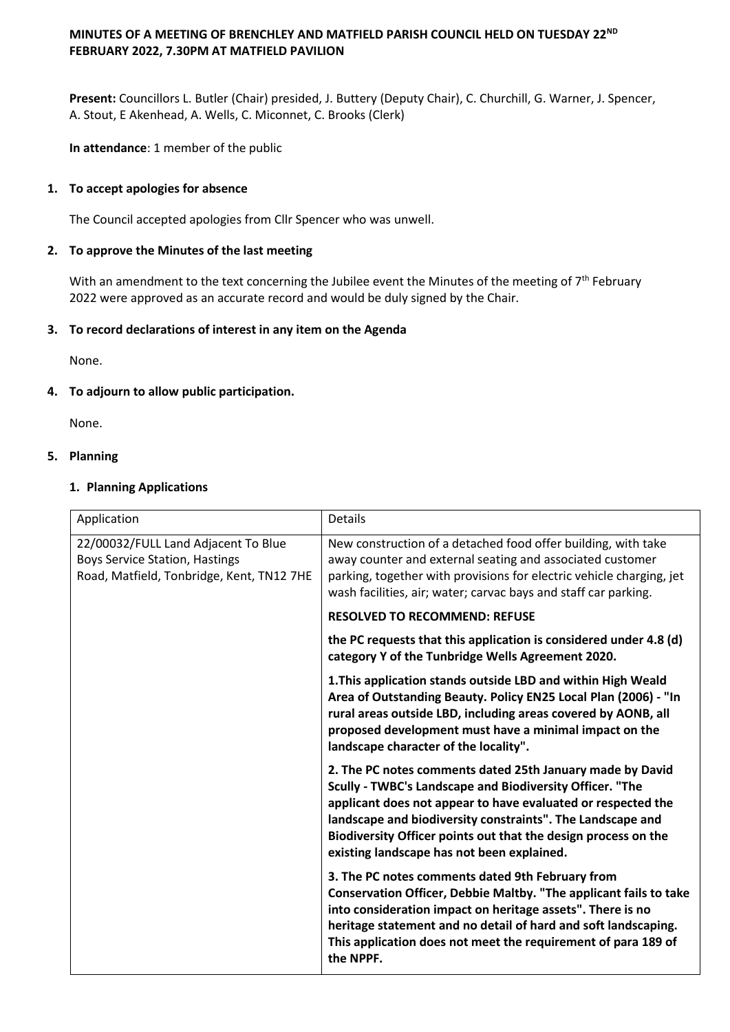# **MINUTES OF A MEETING OF BRENCHLEY AND MATFIELD PARISH COUNCIL HELD ON TUESDAY 22ND FEBRUARY 2022, 7.30PM AT MATFIELD PAVILION**

**Present:** Councillors L. Butler (Chair) presided, J. Buttery (Deputy Chair), C. Churchill, G. Warner, J. Spencer, A. Stout, E Akenhead, A. Wells, C. Miconnet, C. Brooks (Clerk)

**In attendance**: 1 member of the public

# **1. To accept apologies for absence**

The Council accepted apologies from Cllr Spencer who was unwell.

# **2. To approve the Minutes of the last meeting**

With an amendment to the text concerning the Jubilee event the Minutes of the meeting of  $7<sup>th</sup>$  February 2022 were approved as an accurate record and would be duly signed by the Chair.

# **3. To record declarations of interest in any item on the Agenda**

None.

# **4. To adjourn to allow public participation.**

None.

# **5. Planning**

# **1. Planning Applications**

| Application                                                                                                               | <b>Details</b>                                                                                                                                                                                                                                                                                                                                                      |
|---------------------------------------------------------------------------------------------------------------------------|---------------------------------------------------------------------------------------------------------------------------------------------------------------------------------------------------------------------------------------------------------------------------------------------------------------------------------------------------------------------|
| 22/00032/FULL Land Adjacent To Blue<br><b>Boys Service Station, Hastings</b><br>Road, Matfield, Tonbridge, Kent, TN12 7HE | New construction of a detached food offer building, with take<br>away counter and external seating and associated customer<br>parking, together with provisions for electric vehicle charging, jet<br>wash facilities, air; water; carvac bays and staff car parking.                                                                                               |
|                                                                                                                           | <b>RESOLVED TO RECOMMEND: REFUSE</b>                                                                                                                                                                                                                                                                                                                                |
|                                                                                                                           | the PC requests that this application is considered under 4.8 (d)<br>category Y of the Tunbridge Wells Agreement 2020.                                                                                                                                                                                                                                              |
|                                                                                                                           | 1. This application stands outside LBD and within High Weald<br>Area of Outstanding Beauty. Policy EN25 Local Plan (2006) - "In<br>rural areas outside LBD, including areas covered by AONB, all<br>proposed development must have a minimal impact on the<br>landscape character of the locality".                                                                 |
|                                                                                                                           | 2. The PC notes comments dated 25th January made by David<br>Scully - TWBC's Landscape and Biodiversity Officer. "The<br>applicant does not appear to have evaluated or respected the<br>landscape and biodiversity constraints". The Landscape and<br>Biodiversity Officer points out that the design process on the<br>existing landscape has not been explained. |
|                                                                                                                           | 3. The PC notes comments dated 9th February from<br>Conservation Officer, Debbie Maltby. "The applicant fails to take<br>into consideration impact on heritage assets". There is no<br>heritage statement and no detail of hard and soft landscaping.<br>This application does not meet the requirement of para 189 of<br>the NPPF.                                 |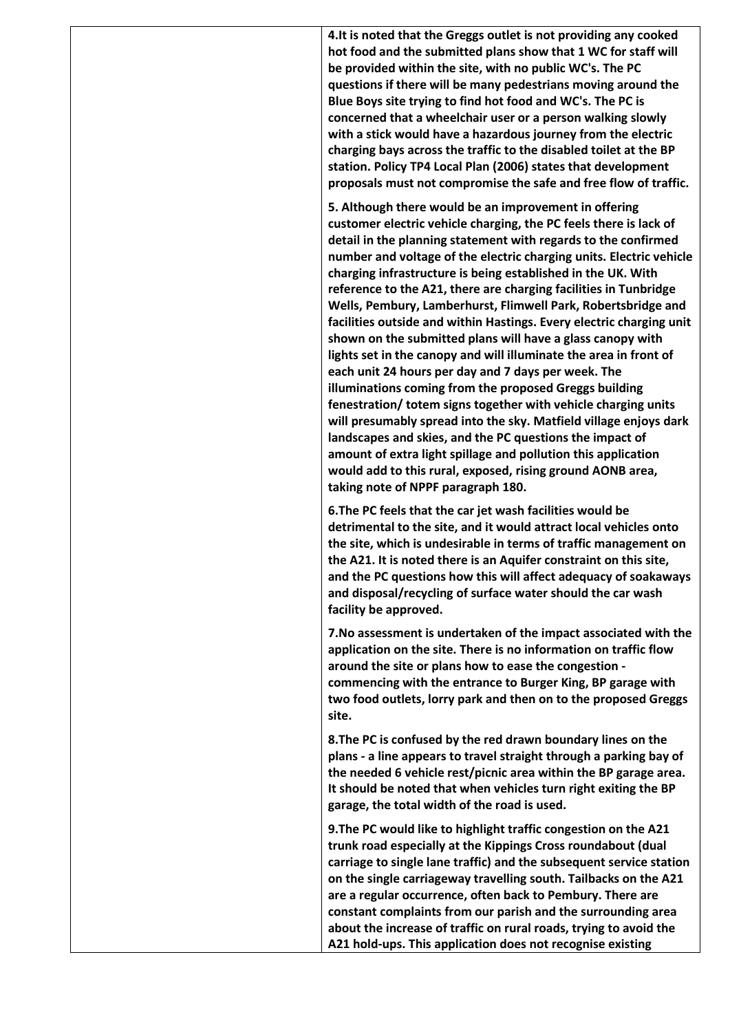**4.It is noted that the Greggs outlet is not providing any cooked hot food and the submitted plans show that 1 WC for staff will be provided within the site, with no public WC's. The PC questions if there will be many pedestrians moving around the Blue Boys site trying to find hot food and WC's. The PC is concerned that a wheelchair user or a person walking slowly with a stick would have a hazardous journey from the electric charging bays across the traffic to the disabled toilet at the BP station. Policy TP4 Local Plan (2006) states that development proposals must not compromise the safe and free flow of traffic.**

**5. Although there would be an improvement in offering customer electric vehicle charging, the PC feels there is lack of detail in the planning statement with regards to the confirmed number and voltage of the electric charging units. Electric vehicle charging infrastructure is being established in the UK. With reference to the A21, there are charging facilities in Tunbridge Wells, Pembury, Lamberhurst, Flimwell Park, Robertsbridge and facilities outside and within Hastings. Every electric charging unit shown on the submitted plans will have a glass canopy with lights set in the canopy and will illuminate the area in front of each unit 24 hours per day and 7 days per week. The illuminations coming from the proposed Greggs building fenestration/ totem signs together with vehicle charging units will presumably spread into the sky. Matfield village enjoys dark landscapes and skies, and the PC questions the impact of amount of extra light spillage and pollution this application would add to this rural, exposed, rising ground AONB area, taking note of NPPF paragraph 180.**

**6.The PC feels that the car jet wash facilities would be detrimental to the site, and it would attract local vehicles onto the site, which is undesirable in terms of traffic management on the A21. It is noted there is an Aquifer constraint on this site, and the PC questions how this will affect adequacy of soakaways and disposal/recycling of surface water should the car wash facility be approved.** 

**7.No assessment is undertaken of the impact associated with the application on the site. There is no information on traffic flow around the site or plans how to ease the congestion commencing with the entrance to Burger King, BP garage with two food outlets, lorry park and then on to the proposed Greggs site.** 

**8.The PC is confused by the red drawn boundary lines on the plans - a line appears to travel straight through a parking bay of the needed 6 vehicle rest/picnic area within the BP garage area. It should be noted that when vehicles turn right exiting the BP garage, the total width of the road is used.**

**9.The PC would like to highlight traffic congestion on the A21 trunk road especially at the Kippings Cross roundabout (dual carriage to single lane traffic) and the subsequent service station on the single carriageway travelling south. Tailbacks on the A21 are a regular occurrence, often back to Pembury. There are constant complaints from our parish and the surrounding area about the increase of traffic on rural roads, trying to avoid the A21 hold-ups. This application does not recognise existing**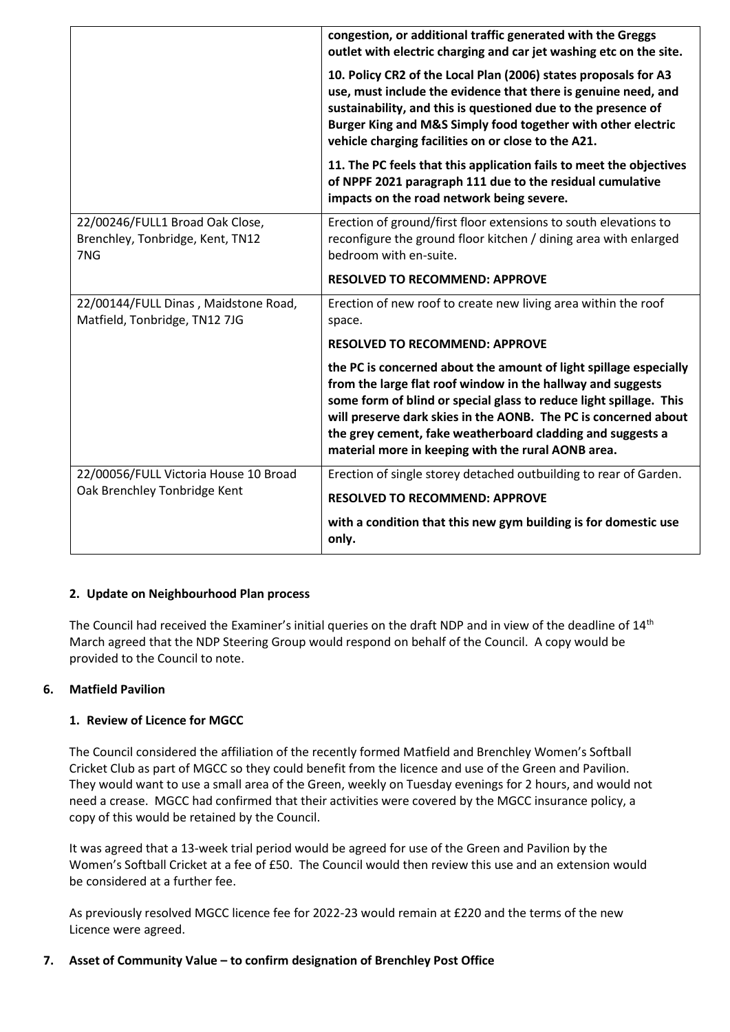|                                                                            | congestion, or additional traffic generated with the Greggs<br>outlet with electric charging and car jet washing etc on the site.                                                                                                                                                                                                                                                             |
|----------------------------------------------------------------------------|-----------------------------------------------------------------------------------------------------------------------------------------------------------------------------------------------------------------------------------------------------------------------------------------------------------------------------------------------------------------------------------------------|
|                                                                            | 10. Policy CR2 of the Local Plan (2006) states proposals for A3<br>use, must include the evidence that there is genuine need, and<br>sustainability, and this is questioned due to the presence of<br>Burger King and M&S Simply food together with other electric<br>vehicle charging facilities on or close to the A21.                                                                     |
|                                                                            | 11. The PC feels that this application fails to meet the objectives<br>of NPPF 2021 paragraph 111 due to the residual cumulative<br>impacts on the road network being severe.                                                                                                                                                                                                                 |
| 22/00246/FULL1 Broad Oak Close,<br>Brenchley, Tonbridge, Kent, TN12<br>7NG | Erection of ground/first floor extensions to south elevations to<br>reconfigure the ground floor kitchen / dining area with enlarged<br>bedroom with en-suite.                                                                                                                                                                                                                                |
|                                                                            | <b>RESOLVED TO RECOMMEND: APPROVE</b>                                                                                                                                                                                                                                                                                                                                                         |
| 22/00144/FULL Dinas, Maidstone Road,<br>Matfield, Tonbridge, TN12 7JG      | Erection of new roof to create new living area within the roof<br>space.                                                                                                                                                                                                                                                                                                                      |
|                                                                            | <b>RESOLVED TO RECOMMEND: APPROVE</b>                                                                                                                                                                                                                                                                                                                                                         |
|                                                                            | the PC is concerned about the amount of light spillage especially<br>from the large flat roof window in the hallway and suggests<br>some form of blind or special glass to reduce light spillage. This<br>will preserve dark skies in the AONB. The PC is concerned about<br>the grey cement, fake weatherboard cladding and suggests a<br>material more in keeping with the rural AONB area. |
| 22/00056/FULL Victoria House 10 Broad                                      | Erection of single storey detached outbuilding to rear of Garden.                                                                                                                                                                                                                                                                                                                             |
| Oak Brenchley Tonbridge Kent                                               | <b>RESOLVED TO RECOMMEND: APPROVE</b>                                                                                                                                                                                                                                                                                                                                                         |
|                                                                            | with a condition that this new gym building is for domestic use<br>only.                                                                                                                                                                                                                                                                                                                      |

# **2. Update on Neighbourhood Plan process**

The Council had received the Examiner's initial queries on the draft NDP and in view of the deadline of 14<sup>th</sup> March agreed that the NDP Steering Group would respond on behalf of the Council. A copy would be provided to the Council to note.

# **6. Matfield Pavilion**

# **1. Review of Licence for MGCC**

The Council considered the affiliation of the recently formed Matfield and Brenchley Women's Softball Cricket Club as part of MGCC so they could benefit from the licence and use of the Green and Pavilion. They would want to use a small area of the Green, weekly on Tuesday evenings for 2 hours, and would not need a crease. MGCC had confirmed that their activities were covered by the MGCC insurance policy, a copy of this would be retained by the Council.

It was agreed that a 13-week trial period would be agreed for use of the Green and Pavilion by the Women's Softball Cricket at a fee of £50. The Council would then review this use and an extension would be considered at a further fee.

As previously resolved MGCC licence fee for 2022-23 would remain at £220 and the terms of the new Licence were agreed.

# **7. Asset of Community Value – to confirm designation of Brenchley Post Office**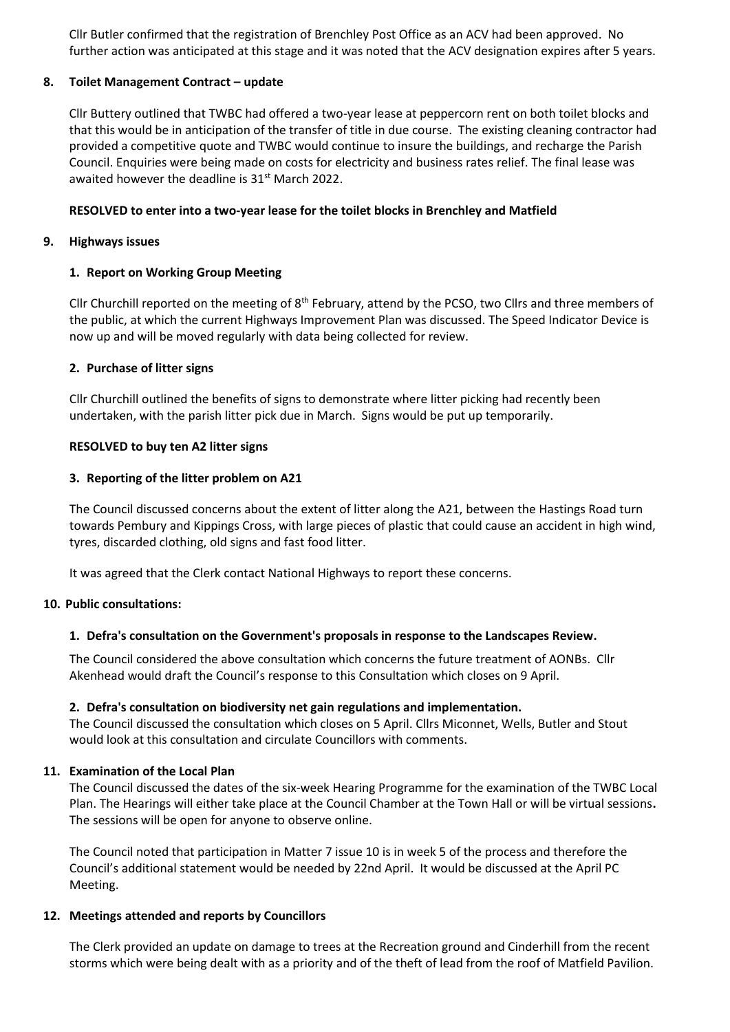Cllr Butler confirmed that the registration of Brenchley Post Office as an ACV had been approved. No further action was anticipated at this stage and it was noted that the ACV designation expires after 5 years.

# **8. Toilet Management Contract – update**

Cllr Buttery outlined that TWBC had offered a two-year lease at peppercorn rent on both toilet blocks and that this would be in anticipation of the transfer of title in due course. The existing cleaning contractor had provided a competitive quote and TWBC would continue to insure the buildings, and recharge the Parish Council. Enquiries were being made on costs for electricity and business rates relief. The final lease was awaited however the deadline is 31<sup>st</sup> March 2022.

# **RESOLVED to enter into a two-year lease for the toilet blocks in Brenchley and Matfield**

### **9. Highways issues**

# **1. Report on Working Group Meeting**

Cllr Churchill reported on the meeting of 8<sup>th</sup> February, attend by the PCSO, two Cllrs and three members of the public, at which the current Highways Improvement Plan was discussed. The Speed Indicator Device is now up and will be moved regularly with data being collected for review.

# **2. Purchase of litter signs**

Cllr Churchill outlined the benefits of signs to demonstrate where litter picking had recently been undertaken, with the parish litter pick due in March. Signs would be put up temporarily.

# **RESOLVED to buy ten A2 litter signs**

# **3. Reporting of the litter problem on A21**

The Council discussed concerns about the extent of litter along the A21, between the Hastings Road turn towards Pembury and Kippings Cross, with large pieces of plastic that could cause an accident in high wind, tyres, discarded clothing, old signs and fast food litter.

It was agreed that the Clerk contact National Highways to report these concerns.

### **10. Public consultations:**

### **1. Defra's consultation on the Government's proposals in response to the Landscapes Review.**

The Council considered the above consultation which concerns the future treatment of AONBs. Cllr Akenhead would draft the Council's response to this Consultation which closes on 9 April.

### **2. Defra's consultation on biodiversity net gain regulations and implementation.**

The Council discussed the consultation which closes on 5 April. Cllrs Miconnet, Wells, Butler and Stout would look at this consultation and circulate Councillors with comments.

### **11. Examination of the Local Plan**

The Council discussed the dates of the six-week Hearing Programme for the examination of the TWBC Local Plan. The Hearings will either take place at the Council Chamber at the Town Hall or will be virtual sessions**.**  The sessions will be open for anyone to observe online.

The Council noted that participation in Matter 7 issue 10 is in week 5 of the process and therefore the Council's additional statement would be needed by 22nd April. It would be discussed at the April PC Meeting.

### **12. Meetings attended and reports by Councillors**

The Clerk provided an update on damage to trees at the Recreation ground and Cinderhill from the recent storms which were being dealt with as a priority and of the theft of lead from the roof of Matfield Pavilion.